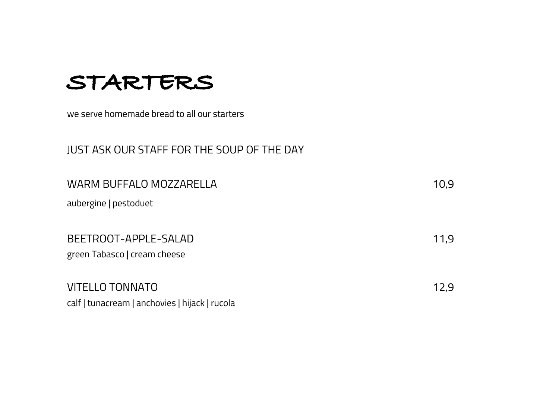## **STARTERS**

we serve homemade bread to all our starters

#### JUST ASK OUR STAFF FOR THE SOUP OF THE DAY

| WARM BUFFALO MOZZARELLA                        | 10,9 |
|------------------------------------------------|------|
| aubergine   pestoduet                          |      |
|                                                |      |
| BEETROOT-APPLE-SALAD                           | 11,9 |
| green Tabasco   cream cheese                   |      |
|                                                |      |
| VITELLO TONNATO                                | 12,9 |
| calf   tunacream   anchovies   hijack   rucola |      |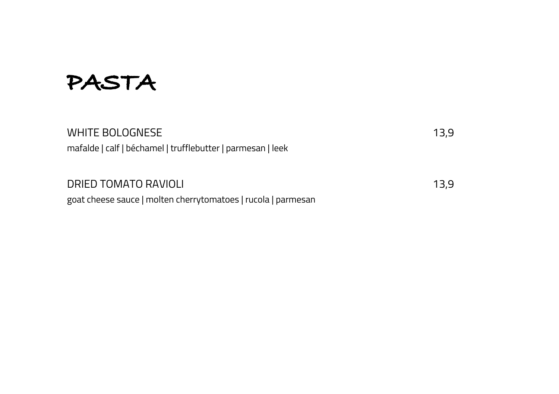# **PASTA**

#### WHITE BOLOGNESE 23,9

mafalde | calf | béchamel | trufflebutter | parmesan | leek

#### DRIED TOMATO RAVIOLI 2000 13,9

goat cheese sauce | molten cherrytomatoes | rucola | parmesan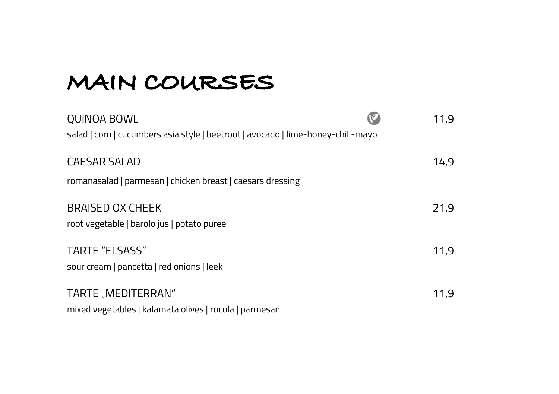# **MAIN COURSES**

| <b>QUINOA BOWL</b><br>salad   corn   cucumbers asia style   beetroot   avocado   lime-honey-chili-mayo | 11,9 |
|--------------------------------------------------------------------------------------------------------|------|
| <b>CAESAR SALAD</b><br>romanasalad   parmesan   chicken breast   caesars dressing                      | 14,9 |
| <b>BRAISED OX CHEEK</b><br>root vegetable   barolo jus   potato puree                                  | 21,9 |
| <b>TARTE "ELSASS"</b><br>sour cream   pancetta   red onions   leek                                     | 11,9 |
| TARTE "MEDITERRAN"<br>mixed vegetables   kalamata olives   rucola   parmesan                           | 11.9 |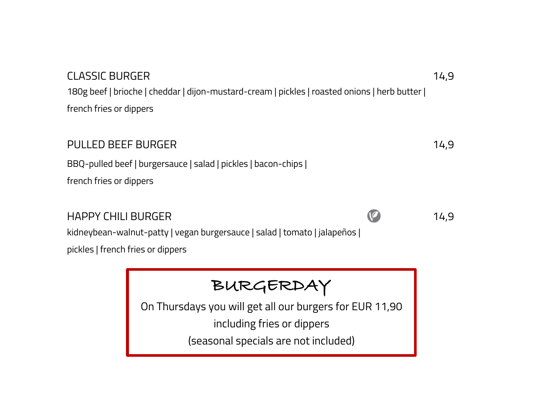### CLASSIC BURGER 2007 14,9 180g beef | brioche | cheddar | dijon-mustard-cream | pickles | roasted onions | herb butter | french fries or dippers

#### PULLED BEEF BURGER 14,9

BBQ-pulled beef | burgersauce | salad | pickles | bacon-chips | french fries or dippers

HAPPY CHILI BURGER 14,9

kidneybean-walnut-patty | vegan burgersauce | salad | tomato | jalapeños | pickles | french fries or dippers

### **BURGERDAY**

On Thursdays you will get all our burgers for EUR 11,90 including fries or dippers (seasonal specials are not included)